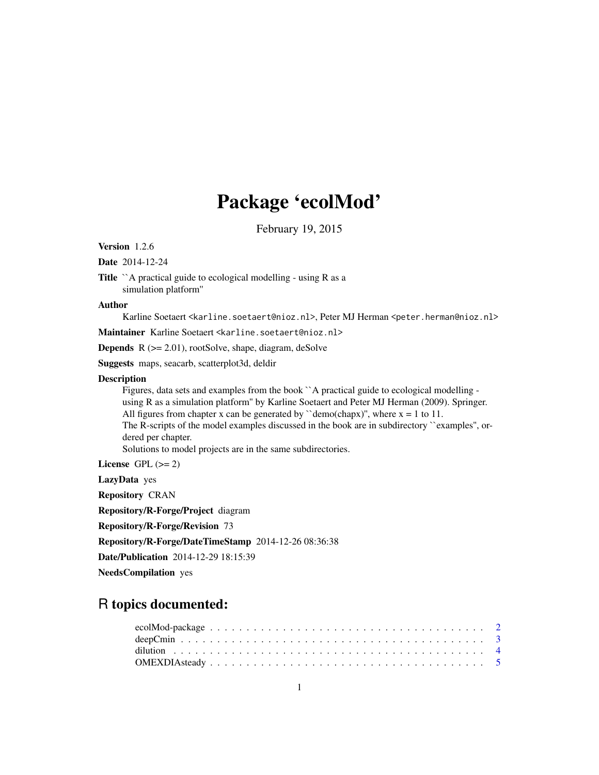# Package 'ecolMod'

February 19, 2015

<span id="page-0-0"></span>Version 1.2.6

Date 2014-12-24

Title `A practical guide to ecological modelling - using R as a simulation platform''

Author

Karline Soetaert <karline.soetaert@nioz.nl>, Peter MJ Herman <peter.herman@nioz.nl>

Maintainer Karline Soetaert <karline.soetaert@nioz.nl>

**Depends**  $R$  ( $>= 2.01$ ), rootSolve, shape, diagram, deSolve

Suggests maps, seacarb, scatterplot3d, deldir

# **Description**

Figures, data sets and examples from the book ``A practical guide to ecological modelling using R as a simulation platform'' by Karline Soetaert and Peter MJ Herman (2009). Springer. All figures from chapter x can be generated by "demo(chapx)", where  $x = 1$  to 11. The R-scripts of the model examples discussed in the book are in subdirectory ``examples'', ordered per chapter.

Solutions to model projects are in the same subdirectories.

License GPL  $(>= 2)$ 

LazyData yes

Repository CRAN

Repository/R-Forge/Project diagram

Repository/R-Forge/Revision 73

Repository/R-Forge/DateTimeStamp 2014-12-26 08:36:38

Date/Publication 2014-12-29 18:15:39

NeedsCompilation yes

# R topics documented: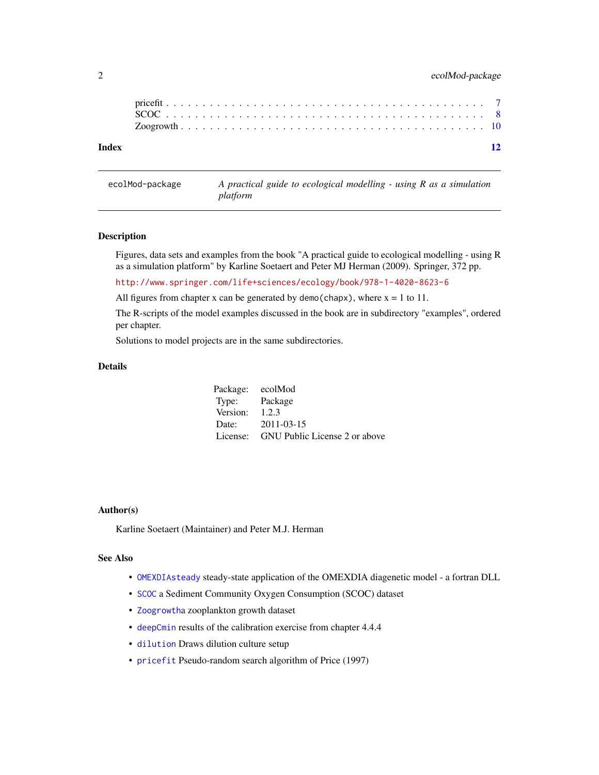# <span id="page-1-0"></span>2 ecolMod-package

| Index |  |  |  |  |  |  |  |  |  |  |  |  |  |  |  |  |  |  |  |  |  |
|-------|--|--|--|--|--|--|--|--|--|--|--|--|--|--|--|--|--|--|--|--|--|

ecolMod-package *A practical guide to ecological modelling - using R as a simulation platform*

# Description

Figures, data sets and examples from the book "A practical guide to ecological modelling - using R as a simulation platform" by Karline Soetaert and Peter MJ Herman (2009). Springer, 372 pp.

<http://www.springer.com/life+sciences/ecology/book/978-1-4020-8623-6>

All figures from chapter x can be generated by demo(chapx), where  $x = 1$  to 11.

The R-scripts of the model examples discussed in the book are in subdirectory "examples", ordered per chapter.

Solutions to model projects are in the same subdirectories.

# Details

| Package: ecolMod |                               |
|------------------|-------------------------------|
| Type:            | Package                       |
| Version:         | 1.2.3                         |
| Date:            | $2011 - 03 - 15$              |
| License:         | GNU Public License 2 or above |

#### Author(s)

Karline Soetaert (Maintainer) and Peter M.J. Herman

#### See Also

- [OMEXDIAsteady](#page-4-1) steady-state application of the OMEXDIA diagenetic model a fortran DLL
- [SCOC](#page-7-1) a Sediment Community Oxygen Consumption (SCOC) dataset
- [Zoogrowth](#page-9-1)a zooplankton growth dataset
- [deepCmin](#page-2-1) results of the calibration exercise from chapter 4.4.4
- [dilution](#page-3-1) Draws dilution culture setup
- [pricefit](#page-6-1) Pseudo-random search algorithm of Price (1997)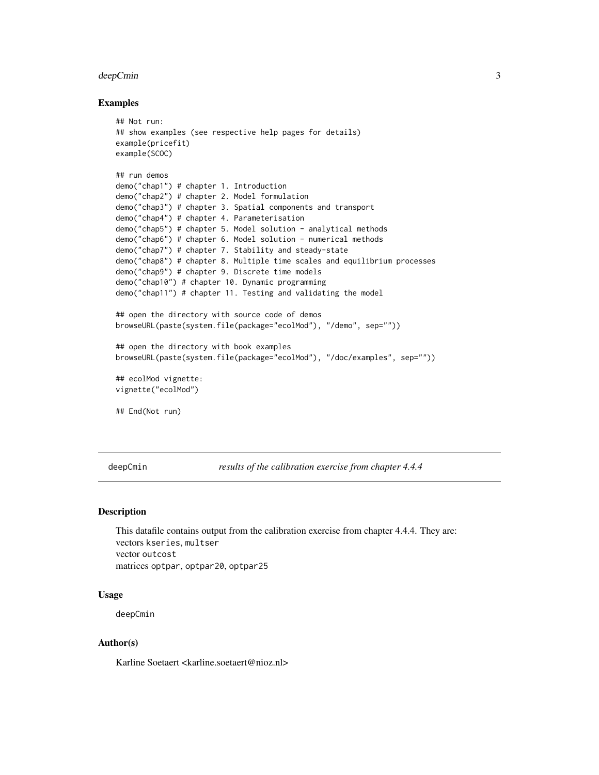#### <span id="page-2-0"></span>deepCmin 3

# Examples

```
## Not run:
## show examples (see respective help pages for details)
example(pricefit)
example(SCOC)
## run demos
demo("chap1") # chapter 1. Introduction
demo("chap2") # chapter 2. Model formulation
demo("chap3") # chapter 3. Spatial components and transport
demo("chap4") # chapter 4. Parameterisation
demo("chap5") # chapter 5. Model solution - analytical methods
demo("chap6") # chapter 6. Model solution - numerical methods
demo("chap7") # chapter 7. Stability and steady-state
demo("chap8") # chapter 8. Multiple time scales and equilibrium processes
demo("chap9") # chapter 9. Discrete time models
demo("chap10") # chapter 10. Dynamic programming
demo("chap11") # chapter 11. Testing and validating the model
## open the directory with source code of demos
browseURL(paste(system.file(package="ecolMod"), "/demo", sep=""))
## open the directory with book examples
browseURL(paste(system.file(package="ecolMod"), "/doc/examples", sep=""))
## ecolMod vignette:
vignette("ecolMod")
## End(Not run)
```
<span id="page-2-1"></span>deepCmin *results of the calibration exercise from chapter 4.4.4*

#### Description

This datafile contains output from the calibration exercise from chapter 4.4.4. They are: vectors kseries, multser vector outcost matrices optpar, optpar20, optpar25

# Usage

deepCmin

# Author(s)

Karline Soetaert <karline.soetaert@nioz.nl>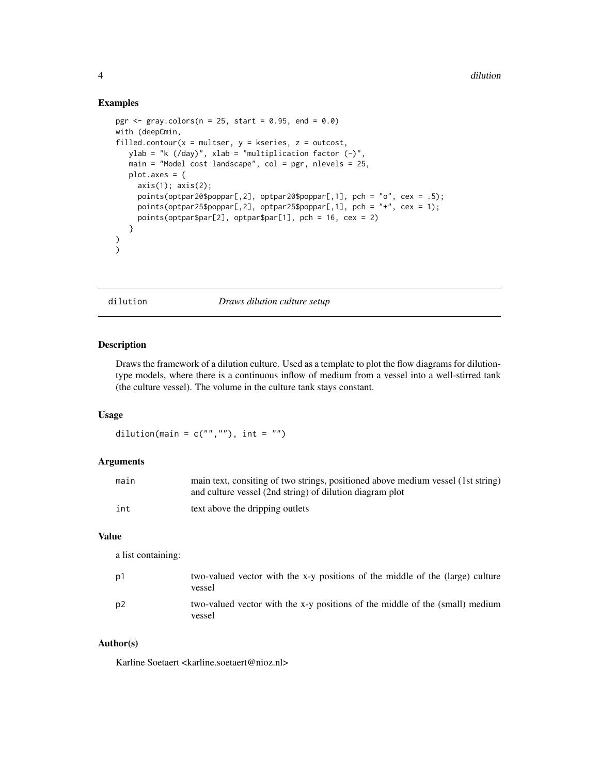# Examples

```
pgr <- gray.colors(n = 25, start = 0.95, end = 0.0)
with (deepCmin,
filled.contour(x = multser, y = kseries, z = outcost,
   ylab = "k (\text{day})", xlab = "multiplication factor (-)",
  main = "Model cost landscape", col = pgr, nlevels = 25,
  plot.axes = {
     axis(1); axis(2);points(optpar20$poppar[, 2], optpar20$poppar[, 1], pch = "o", cex = .5);points(optpar25$poppar[, 2], optpar25$poppar[, 1], pch = "+'', cex = 1);points(optpar$par[2], optpar$par[1], pch = 16, cex = 2)
   }
)
)
```
<span id="page-3-1"></span>dilution *Draws dilution culture setup*

# Description

Draws the framework of a dilution culture. Used as a template to plot the flow diagrams for dilutiontype models, where there is a continuous inflow of medium from a vessel into a well-stirred tank (the culture vessel). The volume in the culture tank stays constant.

# Usage

dilution(main =  $c("", "")$ , int = "")

# Arguments

| main | main text, consiting of two strings, positioned above medium vessel (1st string)<br>and culture vessel (2nd string) of dilution diagram plot |
|------|----------------------------------------------------------------------------------------------------------------------------------------------|
| int  | text above the dripping outlets                                                                                                              |

# Value

a list containing:

| p1 | two-valued vector with the x-y positions of the middle of the (large) culture<br>vessel |
|----|-----------------------------------------------------------------------------------------|
| p2 | two-valued vector with the x-y positions of the middle of the (small) medium<br>vessel  |

# Author(s)

Karline Soetaert <karline.soetaert@nioz.nl>

<span id="page-3-0"></span>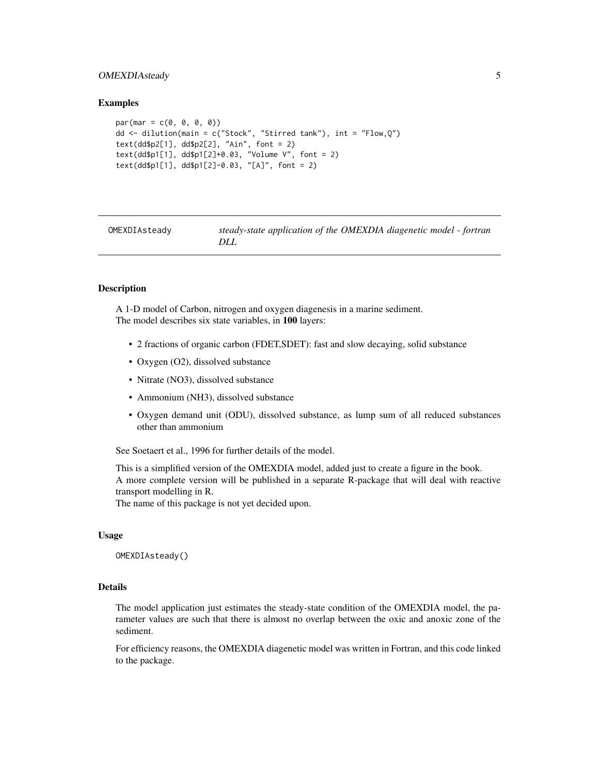# <span id="page-4-0"></span>OMEXDIAsteady 5

# Examples

```
par(max = c(0, 0, 0, 0))dd \le dilution(main = c("Stock", "Stirred tank"), int = "Flow, Q")
text(dd$p2[1], dd$p2[2], "Ain", font = 2)
text(dd$p1[1], dd$p1[2]+0.03, "Volume V", font = 2)
text(dd$p1[1], dd$p1[2]-0.03, "[A]", font = 2)
```
<span id="page-4-1"></span>

| OMEXDIAsteady | steady-state application of the OMEXDIA diagenetic model - fortran |  |
|---------------|--------------------------------------------------------------------|--|
|               | DLL                                                                |  |

# Description

A 1-D model of Carbon, nitrogen and oxygen diagenesis in a marine sediment. The model describes six state variables, in 100 layers:

- 2 fractions of organic carbon (FDET,SDET): fast and slow decaying, solid substance
- Oxygen (O2), dissolved substance
- Nitrate (NO3), dissolved substance
- Ammonium (NH3), dissolved substance
- Oxygen demand unit (ODU), dissolved substance, as lump sum of all reduced substances other than ammonium

See Soetaert et al., 1996 for further details of the model.

This is a simplified version of the OMEXDIA model, added just to create a figure in the book. A more complete version will be published in a separate R-package that will deal with reactive transport modelling in R.

The name of this package is not yet decided upon.

# Usage

OMEXDIAsteady()

# Details

The model application just estimates the steady-state condition of the OMEXDIA model, the parameter values are such that there is almost no overlap between the oxic and anoxic zone of the sediment.

For efficiency reasons, the OMEXDIA diagenetic model was written in Fortran, and this code linked to the package.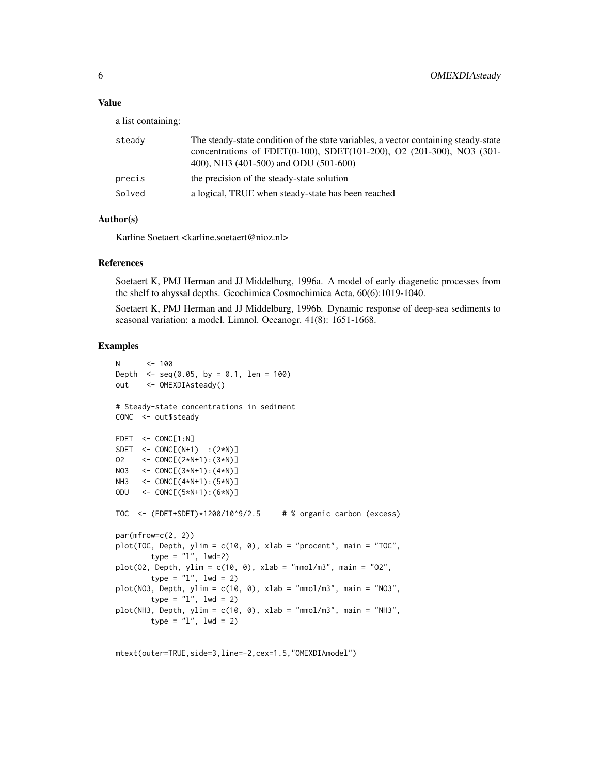# Value

a list containing:

| steady | The steady-state condition of the state variables, a vector containing steady-state<br>concentrations of FDET(0-100), SDET(101-200), O2 (201-300), NO3 (301-<br>400), NH3 (401-500) and ODU (501-600) |
|--------|-------------------------------------------------------------------------------------------------------------------------------------------------------------------------------------------------------|
| precis | the precision of the steady-state solution                                                                                                                                                            |
| Solved | a logical, TRUE when steady-state has been reached                                                                                                                                                    |

# Author(s)

Karline Soetaert <karline.soetaert@nioz.nl>

# References

Soetaert K, PMJ Herman and JJ Middelburg, 1996a. A model of early diagenetic processes from the shelf to abyssal depths. Geochimica Cosmochimica Acta, 60(6):1019-1040.

Soetaert K, PMJ Herman and JJ Middelburg, 1996b. Dynamic response of deep-sea sediments to seasonal variation: a model. Limnol. Oceanogr. 41(8): 1651-1668.

#### Examples

```
N <- 100
Depth \leq seq(0.05, by = 0.1, len = 100)
out <- OMEXDIAsteady()
# Steady-state concentrations in sediment
CONC <- out$steady
FDET \leq CONC[1:N]SDET \le CONC[(N+1) : (2*N)]
O2 <- CONC[(2*N+1):(3*N)]
NO3 <- CONC[(3*N+1):(4*N)]
NH3 <- CONC[(4*N+1):(5*N)]
ODU <- CONC[(5*N+1):(6*N)]
TOC <- (FDET+SDET)*1200/10^9/2.5 # % organic carbon (excess)
par(mfrow=c(2, 2))
plot(TOC, Depth, ylim = c(10, 0), xlab = "procent", main = "TOC",
       type = "l", lwd=2)plot(02, Depth, ylim = c(10, 0), xlab = "mmol/m3", main = "02",type = "l", lwd = 2)plot(NO3, Depth, ylim = c(10, 0), xlab = "mmol/m3", main = "NO3",
       type = "l", lwd = 2)plot(NH3, Depth, ylim = c(10, 0), xlab = "mmol/m3", main = "NH3",
       type = "1", 1wd = 2)
```
mtext(outer=TRUE,side=3,line=-2,cex=1.5,"OMEXDIAmodel")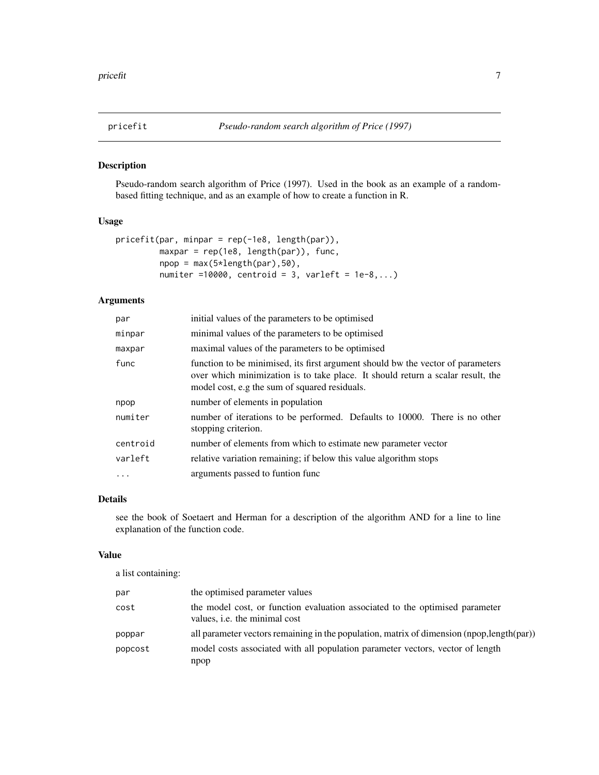<span id="page-6-1"></span><span id="page-6-0"></span>

# Description

Pseudo-random search algorithm of Price (1997). Used in the book as an example of a randombased fitting technique, and as an example of how to create a function in R.

# Usage

```
pricefit(par, minpar = rep(-1e8, length(par)),
         maxpar = rep(1e8, length(par)), func,
         npop = max(5*length(par),50),
         numiter =10000, centroid = 3, varleft = 1e-8,...)
```
# Arguments

| par      | initial values of the parameters to be optimised                                                                                                                                                                    |
|----------|---------------------------------------------------------------------------------------------------------------------------------------------------------------------------------------------------------------------|
| minpar   | minimal values of the parameters to be optimised                                                                                                                                                                    |
| maxpar   | maximal values of the parameters to be optimised                                                                                                                                                                    |
| func     | function to be minimised, its first argument should bw the vector of parameters<br>over which minimization is to take place. It should return a scalar result, the<br>model cost, e.g the sum of squared residuals. |
| npop     | number of elements in population                                                                                                                                                                                    |
| numiter  | number of iterations to be performed. Defaults to 10000. There is no other<br>stopping criterion.                                                                                                                   |
| centroid | number of elements from which to estimate new parameter vector                                                                                                                                                      |
| varleft  | relative variation remaining; if below this value algorithm stops                                                                                                                                                   |
| $\cdot$  | arguments passed to funtion func                                                                                                                                                                                    |

# Details

see the book of Soetaert and Herman for a description of the algorithm AND for a line to line explanation of the function code.

# Value

a list containing:

| par     | the optimised parameter values                                                                                       |
|---------|----------------------------------------------------------------------------------------------------------------------|
| cost    | the model cost, or function evaluation associated to the optimised parameter<br>values, <i>i.e.</i> the minimal cost |
| poppar  | all parameter vectors remaining in the population, matrix of dimension (npop,length(par))                            |
| popcost | model costs associated with all population parameter vectors, vector of length<br>npop                               |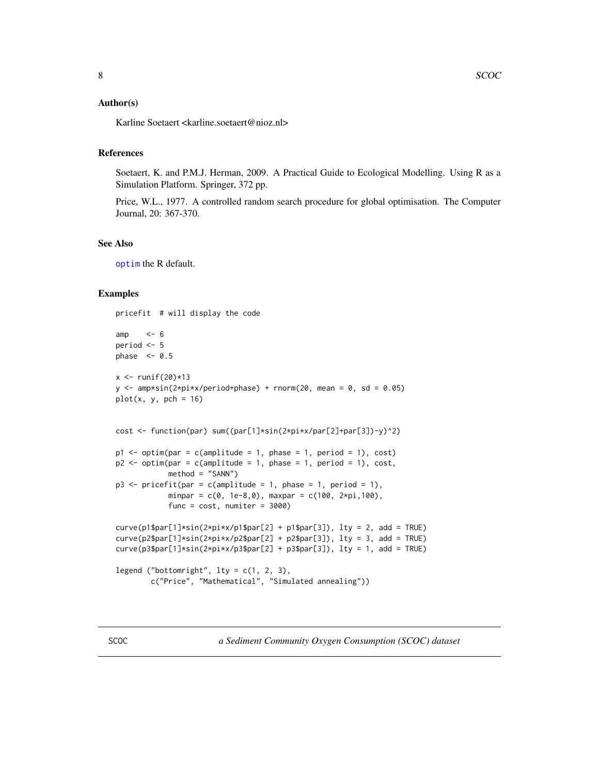# <span id="page-7-0"></span>Author(s)

Karline Soetaert <karline.soetaert@nioz.nl>

# References

Soetaert, K. and P.M.J. Herman, 2009. A Practical Guide to Ecological Modelling. Using R as a Simulation Platform. Springer, 372 pp.

Price, W.L., 1977. A controlled random search procedure for global optimisation. The Computer Journal, 20: 367-370.

# See Also

[optim](#page-0-0) the R default.

# Examples

pricefit # will display the code

```
amp <- 6
period <- 5
phase <-0.5x \leftarrow runif(20)*13y \le -\text{amp} \cdot \text{sin}(2 \cdot \text{pi} \cdot \text{x}/\text{period} + \text{phase}) + \text{rnorm}(20, \text{ mean } = 0, \text{ sd } = 0.05)plot(x, y, pch = 16)cost <- function(par) sum((par[1]*sin(2*pi*x/par[2]+par[3])-y)^2)
p1 \leq - optim(par = c(amplitude = 1, phase = 1, period = 1), cost)
p2 \leq - optim(par = c(amplitude = 1, phase = 1, period = 1), cost,
             method = "SANN")
p3 \le- pricefit(par = c(amplitude = 1, phase = 1, period = 1),
             minpar = c(0, 1e-8, 0), maxpar = c(100, 2*pi, 100),
             func = cost, numiter = 3000)
curve(p1$par[1]*sin(2*pi*x/p1$par[2] + p1$par[3]), lty = 2, add = TRUE)
curve(p2$par[1]*sin(2*pi*x/p2$par[2] + p2$par[3]), lty = 3, add = TRUE)
curve(p3$par[1]*sin(2*pi*x/p3$par[2] + p3$par[3]), lty = 1, add = TRUE)
legend ("bottomright", lty = c(1, 2, 3),
         c("Price", "Mathematical", "Simulated annealing"))
```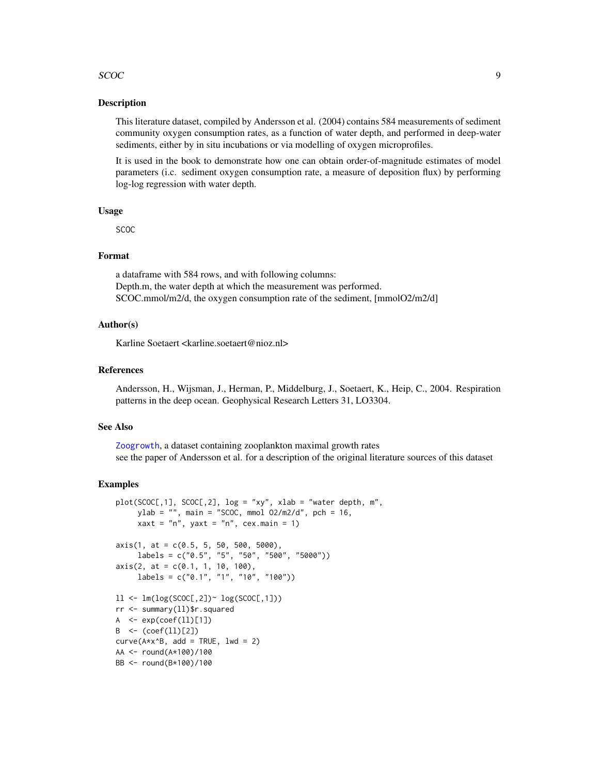# <span id="page-8-0"></span> $SCOC$  9

# Description

This literature dataset, compiled by Andersson et al. (2004) contains 584 measurements of sediment community oxygen consumption rates, as a function of water depth, and performed in deep-water sediments, either by in situ incubations or via modelling of oxygen microprofiles.

It is used in the book to demonstrate how one can obtain order-of-magnitude estimates of model parameters (i.c. sediment oxygen consumption rate, a measure of deposition flux) by performing log-log regression with water depth.

#### Usage

SCOC

# Format

a dataframe with 584 rows, and with following columns: Depth.m, the water depth at which the measurement was performed. SCOC.mmol/m2/d, the oxygen consumption rate of the sediment, [mmolO2/m2/d]

#### Author(s)

Karline Soetaert <karline.soetaert@nioz.nl>

# References

Andersson, H., Wijsman, J., Herman, P., Middelburg, J., Soetaert, K., Heip, C., 2004. Respiration patterns in the deep ocean. Geophysical Research Letters 31, LO3304.

#### See Also

[Zoogrowth](#page-9-1), a dataset containing zooplankton maximal growth rates see the paper of Andersson et al. for a description of the original literature sources of this dataset

# Examples

```
plot(SCOC[, 1], SOC[, 2], log = "xy", xlab = "water depth, m",ylab = "", main = "SCOC, mmol O2/m2/d", pch = 16,
     xaxt = "n", yaxt = "n", cex.main = 1)
axis(1, at = c(0.5, 5, 50, 500, 5000),labels = c("0.5", "5", "50", "500", "5000")axis(2, at = c(0.1, 1, 10, 100),labels = c("0.1", "1", "10", "100"))
11 \leftarrow \text{lm(log}(\text{SCOC}[,2]) \sim \text{log}(\text{SCOC}[,1]))rr <- summary(ll)$r.squared
A \leq exp(coef(11)[1])
B <- (coef(ll)[2])
curve(A*x^B, add = TRUE, lwd = 2)AA <- round(A*100)/100
BB <- round(B*100)/100
```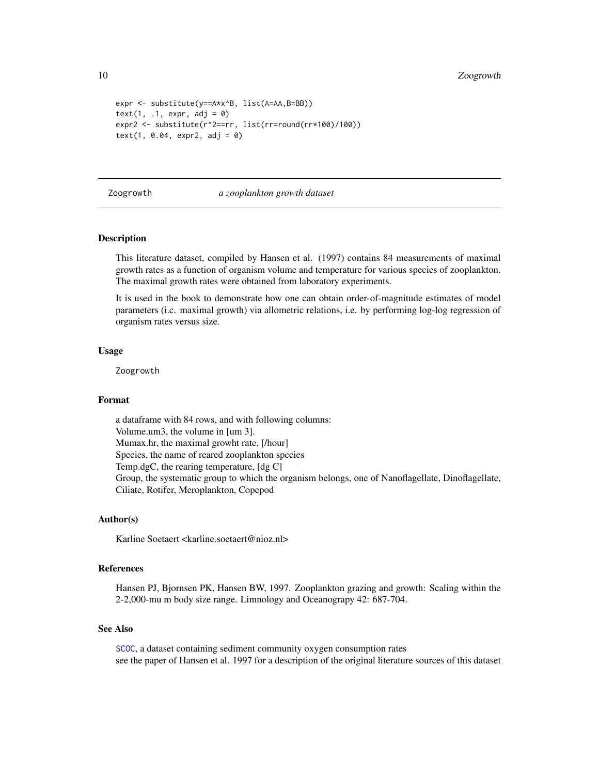```
expr <- substitute(y==A*x^B, list(A=AA,B=BB))
text(1, .1, \text{expr}, \text{adj} = 0)expr2 <- substitute(r^2==rr, list(rr=round(rr*100)/100))
text(1, 0.04, expr2, adj = 0)
```
<span id="page-9-1"></span>Zoogrowth *a zooplankton growth dataset*

# **Description**

This literature dataset, compiled by Hansen et al. (1997) contains 84 measurements of maximal growth rates as a function of organism volume and temperature for various species of zooplankton. The maximal growth rates were obtained from laboratory experiments.

It is used in the book to demonstrate how one can obtain order-of-magnitude estimates of model parameters (i.c. maximal growth) via allometric relations, i.e. by performing log-log regression of organism rates versus size.

#### Usage

Zoogrowth

#### Format

a dataframe with 84 rows, and with following columns: Volume.um3, the volume in [um 3]. Mumax.hr, the maximal growht rate, [/hour] Species, the name of reared zooplankton species Temp.dgC, the rearing temperature, [dg C] Group, the systematic group to which the organism belongs, one of Nanoflagellate, Dinoflagellate, Ciliate, Rotifer, Meroplankton, Copepod

# Author(s)

Karline Soetaert <karline.soetaert@nioz.nl>

# References

Hansen PJ, Bjornsen PK, Hansen BW, 1997. Zooplankton grazing and growth: Scaling within the 2-2,000-mu m body size range. Limnology and Oceanograpy 42: 687-704.

# See Also

[SCOC](#page-7-1), a dataset containing sediment community oxygen consumption rates see the paper of Hansen et al. 1997 for a description of the original literature sources of this dataset

<span id="page-9-0"></span>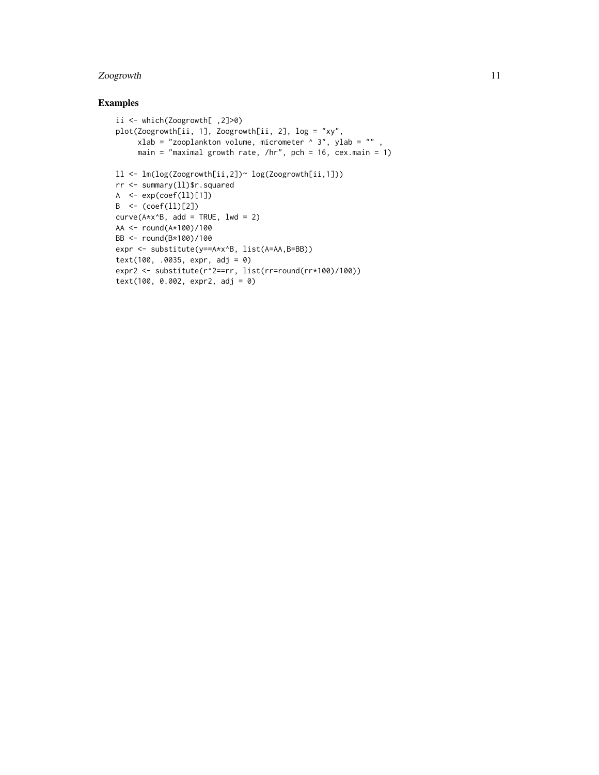# Zoogrowth 11

# Examples

```
ii <- which(Zoogrowth[ ,2]>0)
plot(Zoogrowth[ii, 1], Zoogrowth[ii, 2], log = "xy",
     xlab = "zooplankton volume, micrometer \land 3", ylab = "",
     main = "maximal growth rate, /hr", pch = 16, cex.main = 1)
ll <- lm(log(Zoogrowth[ii,2])~ log(Zoogrowth[ii,1]))
rr <- summary(ll)$r.squared
A \leq exp(coef(11)[1])
B <- (coef(ll)[2])
curve(A*x^nB, add = TRUE, lwd = 2)AA <- round(A*100)/100
BB <- round(B*100)/100
expr <- substitute(y==A*x^B, list(A=AA,B=BB))
text(100, .0035, expr, adj = 0)
expr2 <- substitute(r^2==rr, list(rr=round(rr*100)/100))
text(100, 0.002, expr2, adj = 0)
```